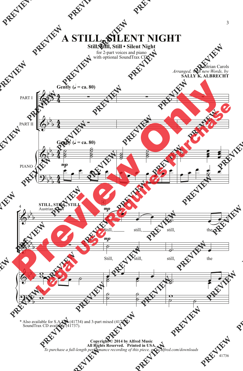**A STILL, SILENT NIGHT**

## **Still, Still, Still • Silent Night**

for 2-part voices and piano with optional SoundTrax CD\*



\* Also available for S.A.T.B. (41734) and 3-part mixed (41735). SoundTrax CD available (41737).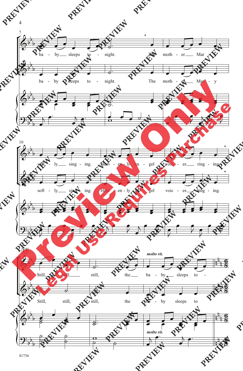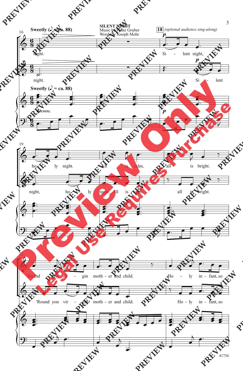